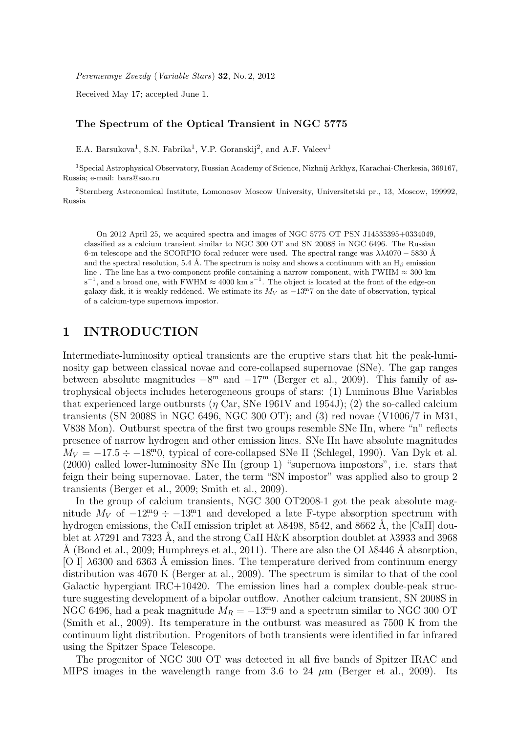Peremennye Zvezdy (Variable Stars) 32, No. 2, 2012

Received May 17; accepted June 1.

#### The Spectrum of the Optical Transient in NGC 5775

E.A. Barsukova<sup>1</sup>, S.N. Fabrika<sup>1</sup>, V.P. Goranskij<sup>2</sup>, and A.F. Valeev<sup>1</sup>

<sup>1</sup>Special Astrophysical Observatory, Russian Academy of Science, Nizhnij Arkhyz, Karachai-Cherkesia, 369167, Russia; e-mail: bars@sao.ru

<sup>2</sup>Sternberg Astronomical Institute, Lomonosov Moscow University, Universitetski pr., 13, Moscow, 199992, Russia

On 2012 April 25, we acquired spectra and images of NGC 5775 OT PSN J14535395+0334049, classified as a calcium transient similar to NGC 300 OT and SN 2008S in NGC 6496. The Russian 6-m telescope and the SCORPIO focal reducer were used. The spectral range was  $\lambda\lambda$ 4070 – 5830 Å and the spectral resolution, 5.4 Å. The spectrum is noisy and shows a continuum with an  $H_\beta$  emission line . The line has a two-component profile containing a narrow component, with FWHM  $\approx 300 \text{ km}$  $s^{-1}$ , and a broad one, with FWHM  $\approx 4000 \text{ km s}^{-1}$ . The object is located at the front of the edge-on galaxy disk, it is weakly reddened. We estimate its  $M_V$  as  $-13<sup>m</sup>$  on the date of observation, typical of a calcium-type supernova impostor.

### 1 INTRODUCTION

Intermediate-luminosity optical transients are the eruptive stars that hit the peak-luminosity gap between classical novae and core-collapsed supernovae (SNe). The gap ranges between absolute magnitudes  $-8^{\rm m}$  and  $-17^{\rm m}$  (Berger et al., 2009). This family of astrophysical objects includes heterogeneous groups of stars: (1) Luminous Blue Variables that experienced large outbursts ( $\eta$  Car, SNe 1961V and 1954J); (2) the so-called calcium transients (SN 2008S in NGC 6496, NGC 300 OT); and (3) red novae (V1006/7 in M31, V838 Mon). Outburst spectra of the first two groups resemble SNe IIn, where "n" reflects presence of narrow hydrogen and other emission lines. SNe IIn have absolute magnitudes  $M_V = -17.5 \div -18.0$ , typical of core-collapsed SNe II (Schlegel, 1990). Van Dyk et al. (2000) called lower-luminosity SNe IIn (group 1) "supernova impostors", i.e. stars that feign their being supernovae. Later, the term "SN impostor" was applied also to group 2 transients (Berger et al., 2009; Smith et al., 2009).

In the group of calcium transients, NGC 300 OT2008-1 got the peak absolute magnitude  $M_V$  of  $-12^{\text{m}}9 \div -13^{\text{m}}1$  and developed a late F-type absorption spectrum with hydrogen emissions, the CaII emission triplet at  $\lambda$ 8498, 8542, and 8662 Å, the [CaII] doublet at  $\lambda$ 7291 and 7323 Å, and the strong CaII H&K absorption doublet at  $\lambda$ 3933 and 3968 Å (Bond et al., 2009; Humphreys et al., 2011). There are also the OI  $\lambda$ 8446 Å absorption, [O I]  $\lambda$ 6300 and 6363 Å emission lines. The temperature derived from continuum energy distribution was 4670 K (Berger at al., 2009). The spectrum is similar to that of the cool Galactic hypergiant IRC+10420. The emission lines had a complex double-peak structure suggesting development of a bipolar outflow. Another calcium transient, SN 2008S in NGC 6496, had a peak magnitude  $M_R = -13.9$  and a spectrum similar to NGC 300 OT (Smith et al., 2009). Its temperature in the outburst was measured as 7500 K from the continuum light distribution. Progenitors of both transients were identified in far infrared using the Spitzer Space Telescope.

The progenitor of NGC 300 OT was detected in all five bands of Spitzer IRAC and MIPS images in the wavelength range from 3.6 to 24  $\mu$ m (Berger et al., 2009). Its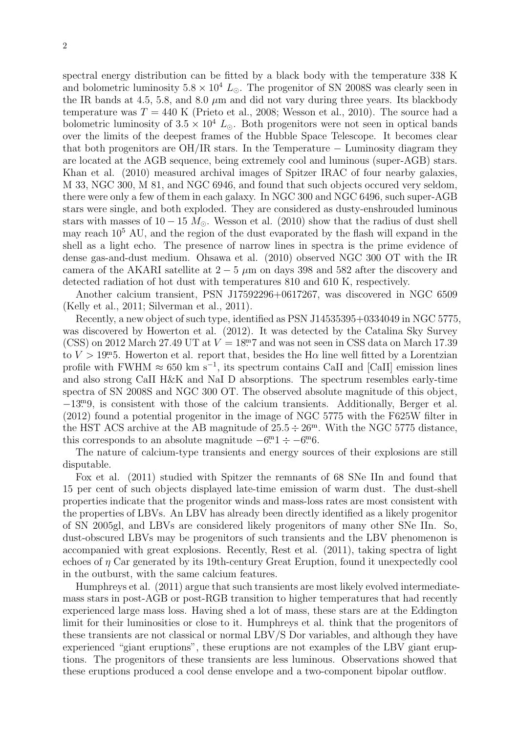spectral energy distribution can be fitted by a black body with the temperature 338 K and bolometric luminosity  $5.8 \times 10^4$  L<sub>☉</sub>. The progenitor of SN 2008S was clearly seen in the IR bands at 4.5, 5.8, and 8.0  $\mu$ m and did not vary during three years. Its blackbody temperature was  $T = 440$  K (Prieto et al., 2008; Wesson et al., 2010). The source had a bolometric luminosity of  $3.5 \times 10^4$  L<sub>o</sub>. Both progenitors were not seen in optical bands over the limits of the deepest frames of the Hubble Space Telescope. It becomes clear that both progenitors are OH/IR stars. In the Temperature − Luminosity diagram they are located at the AGB sequence, being extremely cool and luminous (super-AGB) stars. Khan et al. (2010) measured archival images of Spitzer IRAC of four nearby galaxies, M 33, NGC 300, M 81, and NGC 6946, and found that such objects occured very seldom, there were only a few of them in each galaxy. In NGC 300 and NGC 6496, such super-AGB stars were single, and both exploded. They are considered as dusty-enshrouded luminous stars with masses of 10 − 15  $M_{\odot}$ . Wesson et al. (2010) show that the radius of dust shell may reach 10<sup>5</sup> AU, and the region of the dust evaporated by the flash will expand in the shell as a light echo. The presence of narrow lines in spectra is the prime evidence of dense gas-and-dust medium. Ohsawa et al. (2010) observed NGC 300 OT with the IR camera of the AKARI satellite at  $2-5 \mu m$  on days 398 and 582 after the discovery and detected radiation of hot dust with temperatures 810 and 610 K, respectively.

Another calcium transient, PSN J17592296+0617267, was discovered in NGC 6509 (Kelly et al., 2011; Silverman et al., 2011).

Recently, a new object of such type, identified as PSN J14535395+0334049 in NGC 5775, was discovered by Howerton et al. (2012). It was detected by the Catalina Sky Survey (CSS) on 2012 March 27.49 UT at  $V = 18.7$  and was not seen in CSS data on March 17.39 to  $V > 19^{m}$ 5. Howerton et al. report that, besides the H $\alpha$  line well fitted by a Lorentzian profile with FWHM  $\approx 650 \text{ km s}^{-1}$ , its spectrum contains CaII and [CaII] emission lines and also strong CaII H&K and NaI D absorptions. The spectrum resembles early-time spectra of SN 2008S and NGC 300 OT. The observed absolute magnitude of this object, −13. <sup>m</sup>9, is consistent with those of the calcium transients. Additionally, Berger et al. (2012) found a potential progenitor in the image of NGC 5775 with the F625W filter in the HST ACS archive at the AB magnitude of  $25.5 \div 26^{\text{m}}$ . With the NGC 5775 distance, this corresponds to an absolute magnitude  $-6m + 1 \div -6m$ .

The nature of calcium-type transients and energy sources of their explosions are still disputable.

Fox et al. (2011) studied with Spitzer the remnants of 68 SNe IIn and found that 15 per cent of such objects displayed late-time emission of warm dust. The dust-shell properties indicate that the progenitor winds and mass-loss rates are most consistent with the properties of LBVs. An LBV has already been directly identified as a likely progenitor of SN 2005gl, and LBVs are considered likely progenitors of many other SNe IIn. So, dust-obscured LBVs may be progenitors of such transients and the LBV phenomenon is accompanied with great explosions. Recently, Rest et al. (2011), taking spectra of light echoes of  $\eta$  Car generated by its 19th-century Great Eruption, found it unexpectedly cool in the outburst, with the same calcium features.

Humphreys et al. (2011) argue that such transients are most likely evolved intermediatemass stars in post-AGB or post-RGB transition to higher temperatures that had recently experienced large mass loss. Having shed a lot of mass, these stars are at the Eddington limit for their luminosities or close to it. Humphreys et al. think that the progenitors of these transients are not classical or normal LBV/S Dor variables, and although they have experienced "giant eruptions", these eruptions are not examples of the LBV giant eruptions. The progenitors of these transients are less luminous. Observations showed that these eruptions produced a cool dense envelope and a two-component bipolar outflow.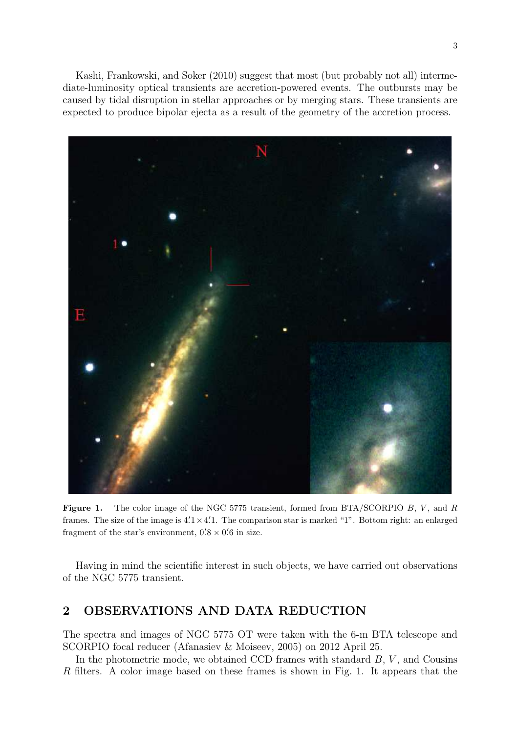Kashi, Frankowski, and Soker (2010) suggest that most (but probably not all) intermediate-luminosity optical transients are accretion-powered events. The outbursts may be caused by tidal disruption in stellar approaches or by merging stars. These transients are expected to produce bipolar ejecta as a result of the geometry of the accretion process.



**Figure 1.** The color image of the NGC 5775 transient, formed from BTA/SCORPIO B, V, and R frames. The size of the image is  $4/1 \times 4/1$ . The comparison star is marked "1". Bottom right: an enlarged fragment of the star's environment,  $0.8 \times 0.6$  in size.

Having in mind the scientific interest in such objects, we have carried out observations of the NGC 5775 transient.

# 2 OBSERVATIONS AND DATA REDUCTION

The spectra and images of NGC 5775 OT were taken with the 6-m BTA telescope and SCORPIO focal reducer (Afanasiev & Moiseev, 2005) on 2012 April 25.

In the photometric mode, we obtained CCD frames with standard  $B, V$ , and Cousins R filters. A color image based on these frames is shown in Fig. 1. It appears that the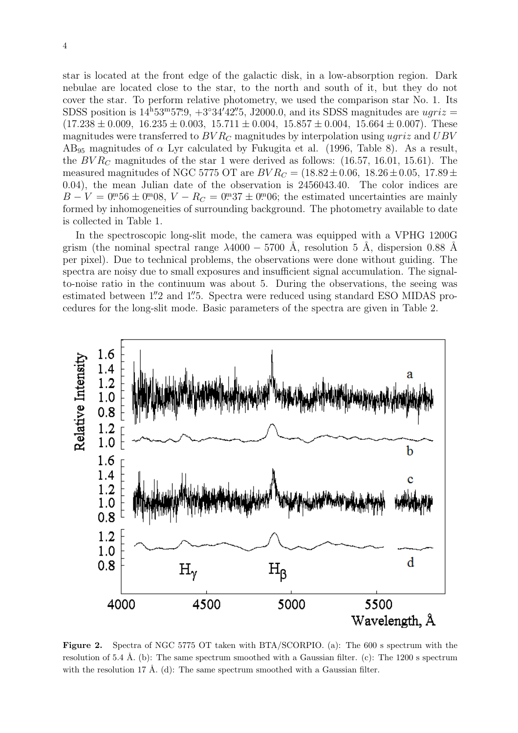star is located at the front edge of the galactic disk, in a low-absorption region. Dark nebulae are located close to the star, to the north and south of it, but they do not cover the star. To perform relative photometry, we used the comparison star No. 1. Its SDSS position is  $14^{\text{h}}53^{\text{m}}57^{\text{m}}9$ ,  $+3°34'42''5$ , J2000.0, and its SDSS magnitudes are  $ugriz =$  $(17.238 \pm 0.009, 16.235 \pm 0.003, 15.711 \pm 0.004, 15.857 \pm 0.004, 15.664 \pm 0.007)$ . These magnitudes were transferred to  $BVR<sub>C</sub>$  magnitudes by interpolation using ugriz and  $UBV$  $AB_{95}$  magnitudes of  $\alpha$  Lyr calculated by Fukugita et al. (1996, Table 8). As a result, the  $BVR<sub>C</sub>$  magnitudes of the star 1 were derived as follows: (16.57, 16.01, 15.61). The measured magnitudes of NGC 5775 OT are  $BVR_C = (18.82 \pm 0.06, 18.26 \pm 0.05, 17.89 \pm 0.05)$ 0.04), the mean Julian date of the observation is 2456043.40. The color indices are  $B - V = 0^{m}56 \pm 0^{m}08$ ,  $V - R_C = 0^{m}37 \pm 0^{m}06$ ; the estimated uncertainties are mainly formed by inhomogeneities of surrounding background. The photometry available to date is collected in Table 1.

In the spectroscopic long-slit mode, the camera was equipped with a VPHG 1200G grism (the nominal spectral range  $\lambda 4000 - 5700$  Å, resolution 5 Å, dispersion 0.88 Å per pixel). Due to technical problems, the observations were done without guiding. The spectra are noisy due to small exposures and insufficient signal accumulation. The signalto-noise ratio in the continuum was about 5. During the observations, the seeing was estimated between 1".2 and 1".5. Spectra were reduced using standard ESO MIDAS procedures for the long-slit mode. Basic parameters of the spectra are given in Table 2.



Figure 2. Spectra of NGC 5775 OT taken with BTA/SCORPIO. (a): The 600 s spectrum with the resolution of 5.4 Å. (b): The same spectrum smoothed with a Gaussian filter. (c): The 1200 s spectrum with the resolution 17 Å. (d): The same spectrum smoothed with a Gaussian filter.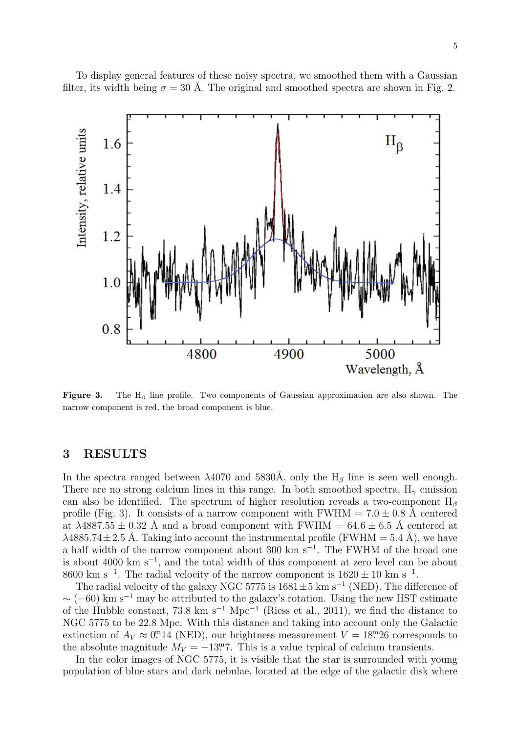To display general features of these noisy spectra, we smoothed them with a Gaussian filter, its width being  $\sigma = 30$  Å. The original and smoothed spectra are shown in Fig. 2.



Figure 3. The H<sub>β</sub> line profile. Two components of Gaussian approximation are also shown. The narrow component is red, the broad component is blue.

## 3 RESULTS

In the spectra ranged between  $\lambda$ 4070 and 5830Å, only the H<sub>β</sub> line is seen well enough. There are no strong calcium lines in this range. In both smoothed spectra,  $H_{\gamma}$  emission can also be identified. The spectrum of higher resolution reveals a two-component  $H_8$ profile (Fig. 3). It consists of a narrow component with FWHM =  $7.0 \pm 0.8$  Å centered at  $\lambda$ 4887.55  $\pm$  0.32 Å and a broad component with FWHM = 64.6  $\pm$  6.5 Å centered at  $\lambda$ 4885.74 $\pm$ 2.5 Å. Taking into account the instrumental profile (FWHM = 5.4 Å), we have a half width of the narrow component about 300 km s<sup>-1</sup>. The FWHM of the broad one is about 4000 km s<sup>−</sup><sup>1</sup> , and the total width of this component at zero level can be about 8600 km s<sup>-1</sup>. The radial velocity of the narrow component is  $1620 \pm 10$  km s<sup>-1</sup>.

The radial velocity of the galaxy NGC 5775 is  $1681 \pm 5$  km s<sup>-1</sup> (NED). The difference of  $\sim$  (−60) km s<sup>-1</sup> may be attributed to the galaxy's rotation. Using the new HST estimate of the Hubble constant, 73.8 km s<sup>-1</sup> Mpc<sup>-1</sup> (Riess et al., 2011), we find the distance to NGC 5775 to be 22.8 Mpc. With this distance and taking into account only the Galactic extinction of  $A_V \approx 0.0$ <sup>m</sup>14 (NED), our brightness measurement  $V = 18.26$  corresponds to the absolute magnitude  $M_V = -13.77$ . This is a value typical of calcium transients.

In the color images of NGC 5775, it is visible that the star is surrounded with young population of blue stars and dark nebulae, located at the edge of the galactic disk where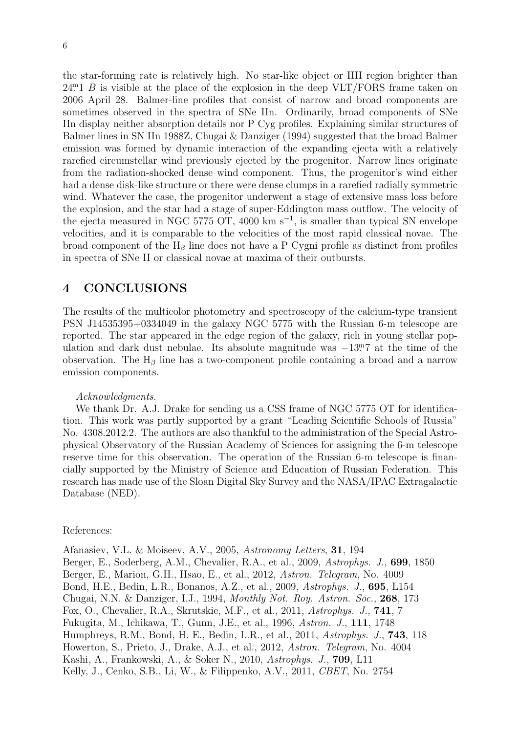the star-forming rate is relatively high. No star-like object or HII region brighter than  $24<sup>m</sup>1$  B is visible at the place of the explosion in the deep VLT/FORS frame taken on 2006 April 28. Balmer-line profiles that consist of narrow and broad components are sometimes observed in the spectra of SNe IIn. Ordinarily, broad components of SNe IIn display neither absorption details nor P Cyg profiles. Explaining similar structures of Balmer lines in SN IIn 1988Z, Chugai & Danziger (1994) suggested that the broad Balmer emission was formed by dynamic interaction of the expanding ejecta with a relatively rarefied circumstellar wind previously ejected by the progenitor. Narrow lines originate from the radiation-shocked dense wind component. Thus, the progenitor's wind either had a dense disk-like structure or there were dense clumps in a rarefied radially symmetric wind. Whatever the case, the progenitor underwent a stage of extensive mass loss before the explosion, and the star had a stage of super-Eddington mass outflow. The velocity of the ejecta measured in NGC 5775 OT, 4000 km s<sup>−</sup><sup>1</sup> , is smaller than typical SN envelope velocities, and it is comparable to the velocities of the most rapid classical novae. The broad component of the  $H_\beta$  line does not have a P Cygni profile as distinct from profiles in spectra of SNe II or classical novae at maxima of their outbursts.

## 4 CONCLUSIONS

The results of the multicolor photometry and spectroscopy of the calcium-type transient PSN J14535395+0334049 in the galaxy NGC 5775 with the Russian 6-m telescope are reported. The star appeared in the edge region of the galaxy, rich in young stellar population and dark dust nebulae. Its absolute magnitude was  $-13.7$  at the time of the observation. The  $H_\beta$  line has a two-component profile containing a broad and a narrow emission components.

### Acknowledgments.

We thank Dr. A.J. Drake for sending us a CSS frame of NGC 5775 OT for identification. This work was partly supported by a grant "Leading Scientific Schools of Russia" No. 4308.2012.2. The authors are also thankful to the administration of the Special Astrophysical Observatory of the Russian Academy of Sciences for assigning the 6-m telescope reserve time for this observation. The operation of the Russian 6-m telescope is financially supported by the Ministry of Science and Education of Russian Federation. This research has made use of the Sloan Digital Sky Survey and the NASA/IPAC Extragalactic Database (NED).

#### References:

Afanasiev, V.L. & Moiseev, A.V., 2005, Astronomy Letters, 31, 194 Berger, E., Soderberg, A.M., Chevalier, R.A., et al., 2009, Astrophys. J., 699, 1850 Berger, E., Marion, G.H., Hsao, E., et al., 2012, Astron. Telegram, No. 4009 Bond, H.E., Bedin, L.R., Bonanos, A.Z., et al., 2009, Astrophys. J., 695, L154 Chugai, N.N. & Danziger, I.J., 1994, Monthly Not. Roy. Astron. Soc., 268, 173 Fox, O., Chevalier, R.A., Skrutskie, M.F., et al., 2011, Astrophys. J., 741, 7 Fukugita, M., Ichikawa, T., Gunn, J.E., et al., 1996, Astron. J., 111, 1748 Humphreys, R.M., Bond, H. E., Bedin, L.R., et al., 2011, Astrophys. J., 743, 118 Howerton, S., Prieto, J., Drake, A.J., et al., 2012, Astron. Telegram, No. 4004 Kashi, A., Frankowski, A., & Soker N., 2010, Astrophys. J., 709, L11 Kelly, J., Cenko, S.B., Li, W., & Filippenko, A.V., 2011, CBET, No. 2754